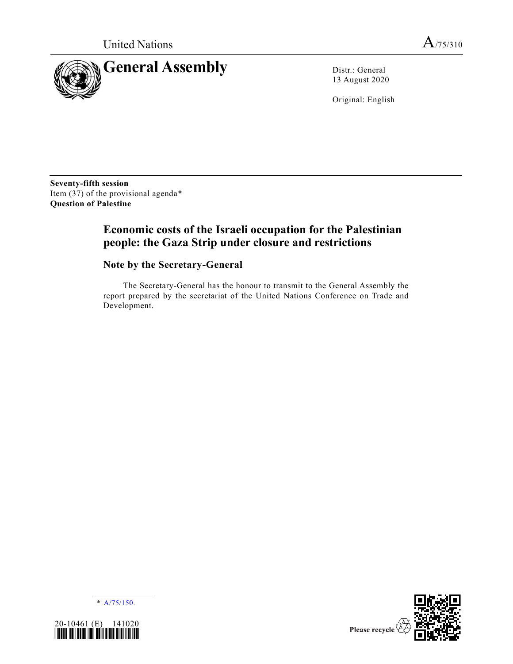

13 August 2020

Original: English

**Seventy-fifth session** Item  $(37)$  of the provisional agenda\* **Question of Palestine**

# **Economic costs of the Israeli occupation for the Palestinian people: the Gaza Strip under closure and restrictions**

# **Note by the Secretary-General**

The Secretary-General has the honour to transmit to the General Assembly the report prepared by the secretariat of the United Nations Conference on Trade and Development.

\* [A/75/150.](https://undocs.org/en/A/75/150)



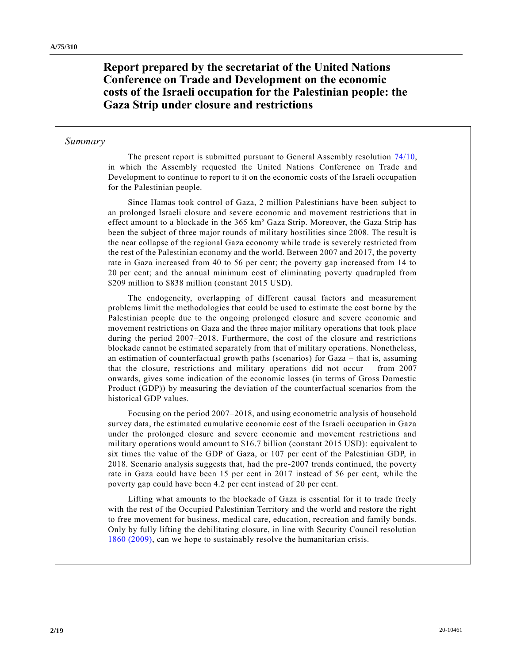**Report prepared by the secretariat of the United Nations Conference on Trade and Development on the economic costs of the Israeli occupation for the Palestinian people: the Gaza Strip under closure and restrictions**

#### *Summary*

The present report is submitted pursuant to General Assembly resolution [74/10,](https://undocs.org/en/A/RES/74/10) in which the Assembly requested the United Nations Conference on Trade and Development to continue to report to it on the economic costs of the Israeli occupation for the Palestinian people.

Since Hamas took control of Gaza, 2 million Palestinians have been subject to an prolonged Israeli closure and severe economic and movement restrictions that in effect amount to a blockade in the 365 km² Gaza Strip. Moreover, the Gaza Strip has been the subject of three major rounds of military hostilities since 2008. The result is the near collapse of the regional Gaza economy while trade is severely restricted from the rest of the Palestinian economy and the world. Between 2007 and 2017, the poverty rate in Gaza increased from 40 to 56 per cent; the poverty gap increased from 14 to 20 per cent; and the annual minimum cost of eliminating poverty quadrupled from \$209 million to \$838 million (constant 2015 USD).

The endogeneity, overlapping of different causal factors and measurement problems limit the methodologies that could be used to estimate the cost borne by the Palestinian people due to the ongoing prolonged closure and severe economic and movement restrictions on Gaza and the three major military operations that took place during the period 2007–2018. Furthermore, the cost of the closure and restrictions blockade cannot be estimated separately from that of military operations. Nonetheless, an estimation of counterfactual growth paths (scenarios) for Gaza – that is, assuming that the closure, restrictions and military operations did not occur – from 2007 onwards, gives some indication of the economic losses (in terms of Gross Domestic Product (GDP)) by measuring the deviation of the counterfactual scenarios from the historical GDP values.

Focusing on the period 2007–2018, and using econometric analysis of household survey data, the estimated cumulative economic cost of the Israeli occupation in Gaza under the prolonged closure and severe economic and movement restrictions and military operations would amount to \$16.7 billion (constant 2015 USD): equivalent to six times the value of the GDP of Gaza, or 107 per cent of the Palestinian GDP, in 2018. Scenario analysis suggests that, had the pre-2007 trends continued, the poverty rate in Gaza could have been 15 per cent in 2017 instead of 56 per cent, while the poverty gap could have been 4.2 per cent instead of 20 per cent.

Lifting what amounts to the blockade of Gaza is essential for it to trade freely with the rest of the Occupied Palestinian Territory and the world and restore the right to free movement for business, medical care, education, recreation and family bonds. Only by fully lifting the debilitating closure, in line with Security Council resolution [1860 \(2009\),](https://undocs.org/en/S/RES/1860(2009)) can we hope to sustainably resolve the humanitarian crisis.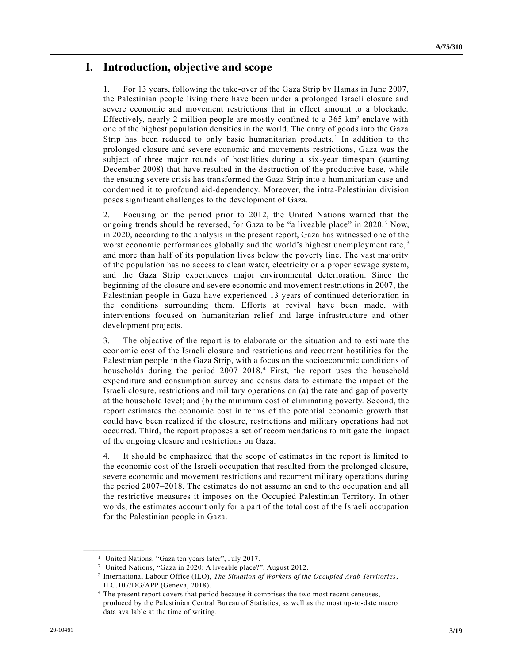# **I. Introduction, objective and scope**

1. For 13 years, following the take-over of the Gaza Strip by Hamas in June 2007, the Palestinian people living there have been under a prolonged Israeli closure and severe economic and movement restrictions that in effect amount to a blockade. Effectively, nearly 2 million people are mostly confined to a 365 km² enclave with one of the highest population densities in the world. The entry of goods into the Gaza Strip has been reduced to only basic humanitarian products.<sup>1</sup> In addition to the prolonged closure and severe economic and movements restrictions, Gaza was the subject of three major rounds of hostilities during a six-year timespan (starting December 2008) that have resulted in the destruction of the productive base, while the ensuing severe crisis has transformed the Gaza Strip into a humanitarian case and condemned it to profound aid-dependency. Moreover, the intra-Palestinian division poses significant challenges to the development of Gaza.

2. Focusing on the period prior to 2012, the United Nations warned that the ongoing trends should be reversed, for Gaza to be "a liveable place" in 2020. <sup>2</sup> Now, in 2020, according to the analysis in the present report, Gaza has witnessed one of the worst economic performances globally and the world's highest unemployment rate,<sup>3</sup> and more than half of its population lives below the poverty line. The vast majority of the population has no access to clean water, electricity or a proper sewage system, and the Gaza Strip experiences major environmental deterioration. Since the beginning of the closure and severe economic and movement restrictions in 2007, the Palestinian people in Gaza have experienced 13 years of continued deterioration in the conditions surrounding them. Efforts at revival have been made, with interventions focused on humanitarian relief and large infrastructure and other development projects.

3. The objective of the report is to elaborate on the situation and to estimate the economic cost of the Israeli closure and restrictions and recurrent hostilities for the Palestinian people in the Gaza Strip, with a focus on the socioeconomic conditions of households during the period 2007–2018.<sup>4</sup> First, the report uses the household expenditure and consumption survey and census data to estimate the impact of the Israeli closure, restrictions and military operations on (a) the rate and gap of poverty at the household level; and (b) the minimum cost of eliminating poverty. Se cond, the report estimates the economic cost in terms of the potential economic growth that could have been realized if the closure, restrictions and military operations had not occurred. Third, the report proposes a set of recommendations to mitigate the impact of the ongoing closure and restrictions on Gaza.

4. It should be emphasized that the scope of estimates in the report is limited to the economic cost of the Israeli occupation that resulted from the prolonged closure, severe economic and movement restrictions and recurrent military operations during the period 2007–2018. The estimates do not assume an end to the occupation and all the restrictive measures it imposes on the Occupied Palestinian Territory. In other words, the estimates account only for a part of the total cost of the Israeli occupation for the Palestinian people in Gaza.

<sup>&</sup>lt;sup>1</sup> United Nations, "Gaza ten years later", July 2017.

<sup>2</sup> United Nations, "Gaza in 2020: A liveable place?", August 2012.

<sup>3</sup> International Labour Office (ILO), *The Situation of Workers of the Occupied Arab Territories*, ILC.107/DG/APP (Geneva, 2018).

<sup>&</sup>lt;sup>4</sup> The present report covers that period because it comprises the two most recent censuses, produced by the Palestinian Central Bureau of Statistics, as well as the most up -to-date macro data available at the time of writing.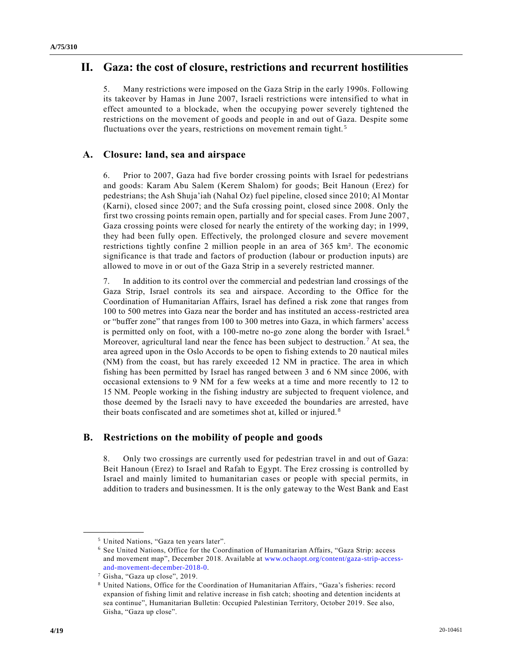# **II. Gaza: the cost of closure, restrictions and recurrent hostilities**

5. Many restrictions were imposed on the Gaza Strip in the early 1990s. Following its takeover by Hamas in June 2007, Israeli restrictions were intensified to what in effect amounted to a blockade, when the occupying power severely tightened the restrictions on the movement of goods and people in and out of Gaza. Despite some fluctuations over the years, restrictions on movement remain tight.<sup>5</sup>

## **A. Closure: land, sea and airspace**

6. Prior to 2007, Gaza had five border crossing points with Israel for pedestrians and goods: Karam Abu Salem (Kerem Shalom) for goods; Beit Hanoun (Erez) for pedestrians; the Ash Shuja'iah (Nahal Oz) fuel pipeline, closed since 2010; Al Montar (Karni), closed since 2007; and the Sufa crossing point, closed since 2008. Only the first two crossing points remain open, partially and for special cases. From June 2007, Gaza crossing points were closed for nearly the entirety of the working day; in 1999, they had been fully open. Effectively, the prolonged closure and severe movement restrictions tightly confine 2 million people in an area of 365 km². The economic significance is that trade and factors of production (labour or production inputs) are allowed to move in or out of the Gaza Strip in a severely restricted manner.

7. In addition to its control over the commercial and pedestrian land crossings of the Gaza Strip, Israel controls its sea and airspace. According to the Office for the Coordination of Humanitarian Affairs, Israel has defined a risk zone that ranges from 100 to 500 metres into Gaza near the border and has instituted an access-restricted area or "buffer zone" that ranges from 100 to 300 metres into Gaza, in which farmers' access is permitted only on foot, with a 100-metre no-go zone along the border with Israel.<sup>6</sup> Moreover, agricultural land near the fence has been subject to destruction. <sup>7</sup> At sea, the area agreed upon in the Oslo Accords to be open to fishing extends to 20 nautical miles (NM) from the coast, but has rarely exceeded 12 NM in practice. The area in which fishing has been permitted by Israel has ranged between 3 and 6 NM since 2006, with occasional extensions to 9 NM for a few weeks at a time and more recently to 12 to 15 NM. People working in the fishing industry are subjected to frequent violence, and those deemed by the Israeli navy to have exceeded the boundaries are arrested, have their boats confiscated and are sometimes shot at, killed or injured. <sup>8</sup>

### **B. Restrictions on the mobility of people and goods**

8. Only two crossings are currently used for pedestrian travel in and out of Gaza: Beit Hanoun (Erez) to Israel and Rafah to Egypt. The Erez crossing is controlled by Israel and mainly limited to humanitarian cases or people with special permits, in addition to traders and businessmen. It is the only gateway to the West Bank and East

<sup>5</sup> United Nations, "Gaza ten years later".

<sup>6</sup> See United Nations, Office for the Coordination of Humanitarian Affairs, "Gaza Strip: access and movement map", December 2018. Available at [www.ochaopt.org/content/gaza-strip-access](https://www.ochaopt.org/content/gaza-strip-access-and-movement-december-2018-0)[and-movement-december-2018-0.](https://www.ochaopt.org/content/gaza-strip-access-and-movement-december-2018-0)

<sup>7</sup> Gisha, "Gaza up close", 2019.

<sup>8</sup> United Nations, Office for the Coordination of Humanitarian Affairs, "Gaza's fisheries: record expansion of fishing limit and relative increase in fish catch; shooting and detention incidents at sea continue", Humanitarian Bulletin: Occupied Palestinian Territory, October 2019. See also, Gisha, "Gaza up close".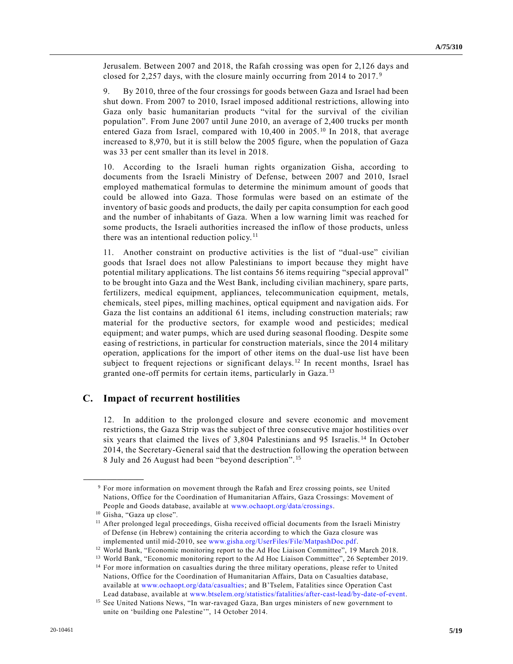Jerusalem. Between 2007 and 2018, the Rafah crossing was open for 2,126 days and closed for 2,257 days, with the closure mainly occurring from 2014 to 2017. <sup>9</sup>

9. By 2010, three of the four crossings for goods between Gaza and Israel had been shut down. From 2007 to 2010, Israel imposed additional restrictions, allowing into Gaza only basic humanitarian products "vital for the survival of the civilian population". From June 2007 until June 2010, an average of 2,400 trucks per month entered Gaza from Israel, compared with  $10,400$  in  $2005$ .<sup>10</sup> In 2018, that average increased to 8,970, but it is still below the 2005 figure, when the population of Gaza was 33 per cent smaller than its level in 2018.

10. According to the Israeli human rights organization Gisha, according to documents from the Israeli Ministry of Defense, between 2007 and 2010, Israel employed mathematical formulas to determine the minimum amount of goods that could be allowed into Gaza. Those formulas were based on an estimate of the inventory of basic goods and products, the daily per capita consumption for each good and the number of inhabitants of Gaza. When a low warning limit was reached for some products, the Israeli authorities increased the inflow of those products, unless there was an intentional reduction policy.<sup>11</sup>

11. Another constraint on productive activities is the list of "dual-use" civilian goods that Israel does not allow Palestinians to import because they might have potential military applications. The list contains 56 items requiring "special approval" to be brought into Gaza and the West Bank, including civilian machinery, spare parts, fertilizers, medical equipment, appliances, telecommunication equipment, metals, chemicals, steel pipes, milling machines, optical equipment and navigation aids. For Gaza the list contains an additional 61 items, including construction materials; raw material for the productive sectors, for example wood and pesticides; medical equipment; and water pumps, which are used during seasonal flooding. Despite some easing of restrictions, in particular for construction materials, since the 2014 military operation, applications for the import of other items on the dual-use list have been subject to frequent rejections or significant delays.<sup>12</sup> In recent months, Israel has granted one-off permits for certain items, particularly in Gaza. <sup>13</sup>

#### **C. Impact of recurrent hostilities**

12. In addition to the prolonged closure and severe economic and movement restrictions, the Gaza Strip was the subject of three consecutive major hostilities over six years that claimed the lives of 3,804 Palestinians and 95 Israelis. <sup>14</sup> In October 2014, the Secretary-General said that the destruction following the operation between 8 July and 26 August had been "beyond description". <sup>15</sup>

<sup>9</sup> For more information on movement through the Rafah and Erez crossing points, see United Nations, Office for the Coordination of Humanitarian Affairs, Gaza Crossings: Movement of People and Goods database, available at [www.ochaopt.org/data/crossings.](http://www.ochaopt.org/data/crossings)

<sup>&</sup>lt;sup>10</sup> Gisha, "Gaza up close".

<sup>&</sup>lt;sup>11</sup> After prolonged legal proceedings, Gisha received official documents from the Israeli Ministry of Defense (in Hebrew) containing the criteria according to which the Gaza closure was implemented until mid-2010, see [www.gisha.org/UserFiles/File/MatpashDoc.pdf.](https://www.gisha.org/UserFiles/File/MatpashDoc.pdf)

<sup>&</sup>lt;sup>12</sup> World Bank, "Economic monitoring report to the Ad Hoc Liaison Committee", 19 March 2018.

<sup>&</sup>lt;sup>13</sup> World Bank, "Economic monitoring report to the Ad Hoc Liaison Committee", 26 September 2019.

<sup>&</sup>lt;sup>14</sup> For more information on casualties during the three military operations, please refer to United Nations, Office for the Coordination of Humanitarian Affairs, Data on Casualties database, available at [www.ochaopt.org/data/casualties;](file:///C:/MSWDocs/_2Semifinal/www.ochaopt.org/data/casualties) and B'Tselem, Fatalities since Operation Cast Lead database, available at [www.btselem.org/statistics/fatalities/after-cast-lead/by-date-of-event.](about:blank)

<sup>&</sup>lt;sup>15</sup> See United Nations News, "In war-ravaged Gaza, Ban urges ministers of new government to unite on 'building one Palestine'", 14 October 2014.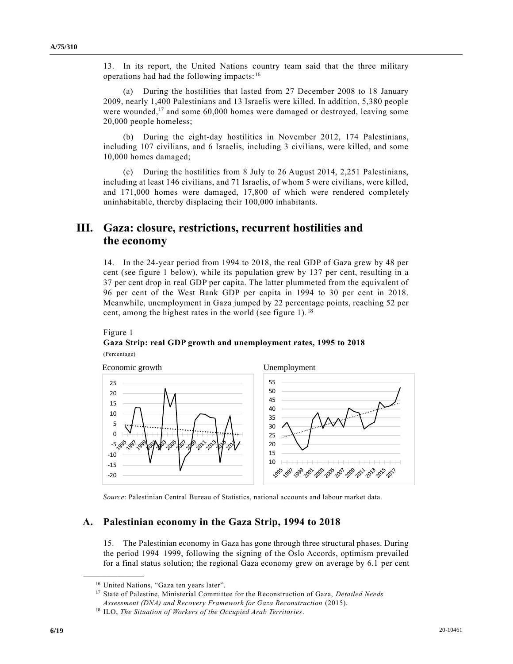13. In its report, the United Nations country team said that the three military operations had had the following impacts: <sup>16</sup>

(a) During the hostilities that lasted from 27 December 2008 to 18 January 2009, nearly 1,400 Palestinians and 13 Israelis were killed. In addition, 5,380 people were wounded,<sup>17</sup> and some 60,000 homes were damaged or destroyed, leaving some 20,000 people homeless;

(b) During the eight-day hostilities in November 2012, 174 Palestinians, including 107 civilians, and 6 Israelis, including 3 civilians, were killed, and some 10,000 homes damaged;

(c) During the hostilities from 8 July to 26 August 2014, 2,251 Palestinians, including at least 146 civilians, and 71 Israelis, of whom 5 were civilians, were killed, and 171,000 homes were damaged, 17,800 of which were rendered completely uninhabitable, thereby displacing their 100,000 inhabitants.

# **III. Gaza: closure, restrictions, recurrent hostilities and the economy**

14. In the 24-year period from 1994 to 2018, the real GDP of Gaza grew by 48 per cent (see figure 1 below), while its population grew by 137 per cent, resulting in a 37 per cent drop in real GDP per capita. The latter plummeted from the equivalent of 96 per cent of the West Bank GDP per capita in 1994 to 30 per cent in 2018. Meanwhile, unemployment in Gaza jumped by 22 percentage points, reaching 52 per cent, among the highest rates in the world (see figure 1). <sup>18</sup>

#### Figure 1

#### **Gaza Strip: real GDP growth and unemployment rates, 1995 to 2018**  (Percentage)



*Source*: Palestinian Central Bureau of Statistics, national accounts and labour market data.

#### **A. Palestinian economy in the Gaza Strip, 1994 to 2018**

15. The Palestinian economy in Gaza has gone through three structural phases. During the period 1994–1999, following the signing of the Oslo Accords, optimism prevailed for a final status solution; the regional Gaza economy grew on average by 6.1 per cent

<sup>&</sup>lt;sup>16</sup> United Nations, "Gaza ten years later".

<sup>17</sup> State of Palestine, Ministerial Committee for the Reconstruction of Gaza, *Detailed Needs Assessment (DNA) and Recovery Framework for Gaza Reconstruction* (2015).

<sup>18</sup> ILO, *The Situation of Workers of the Occupied Arab Territories*.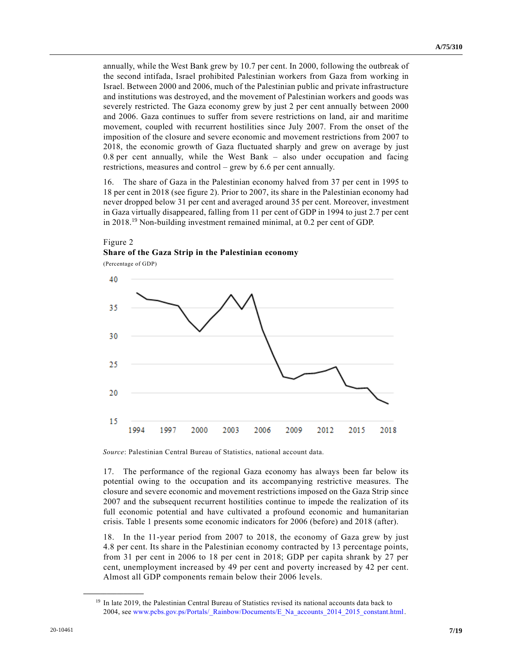annually, while the West Bank grew by 10.7 per cent. In 2000, following the outbreak of the second intifada, Israel prohibited Palestinian workers from Gaza from working in Israel. Between 2000 and 2006, much of the Palestinian public and private infrastructure and institutions was destroyed, and the movement of Palestinian workers and goods was severely restricted. The Gaza economy grew by just 2 per cent annually between 2000 and 2006. Gaza continues to suffer from severe restrictions on land, air and maritime movement, coupled with recurrent hostilities since July 2007. From the onset of the imposition of the closure and severe economic and movement restrictions from 2007 to 2018, the economic growth of Gaza fluctuated sharply and grew on average by just  $0.8$  per cent annually, while the West Bank  $-$  also under occupation and facing restrictions, measures and control – grew by 6.6 per cent annually.

16. The share of Gaza in the Palestinian economy halved from 37 per cent in 1995 to 18 per cent in 2018 (see figure 2). Prior to 2007, its share in the Palestinian economy had never dropped below 31 per cent and averaged around 35 per cent. Moreover, investment in Gaza virtually disappeared, falling from 11 per cent of GDP in 1994 to just 2.7 per cent in 2018.<sup>19</sup> Non-building investment remained minimal, at 0.2 per cent of GDP.

### Figure 2 **Share of the Gaza Strip in the Palestinian economy**

(Percentage of GDP)



*Source*: Palestinian Central Bureau of Statistics, national account data.

17. The performance of the regional Gaza economy has always been far below its potential owing to the occupation and its accompanying restrictive measures. The closure and severe economic and movement restrictions imposed on the Gaza Strip since 2007 and the subsequent recurrent hostilities continue to impede the realization of its full economic potential and have cultivated a profound economic and humanitarian crisis. Table 1 presents some economic indicators for 2006 (before) and 2018 (after).

18. In the 11-year period from 2007 to 2018, the economy of Gaza grew by just 4.8 per cent. Its share in the Palestinian economy contracted by 13 percentage points, from 31 per cent in 2006 to 18 per cent in 2018; GDP per capita shrank by 27 per cent, unemployment increased by 49 per cent and poverty increased by 42 per cent. Almost all GDP components remain below their 2006 levels.

<sup>&</sup>lt;sup>19</sup> In late 2019, the Palestinian Central Bureau of Statistics revised its national accounts data back to 2004, see [www.pcbs.gov.ps/Portals/\\_Rainbow/Documents/E\\_Na\\_accounts\\_2014\\_2015\\_constant.html.](http://www.pcbs.gov.ps/Portals/_Rainbow/Documents/E_Na_accounts_2014_2015_constant.html)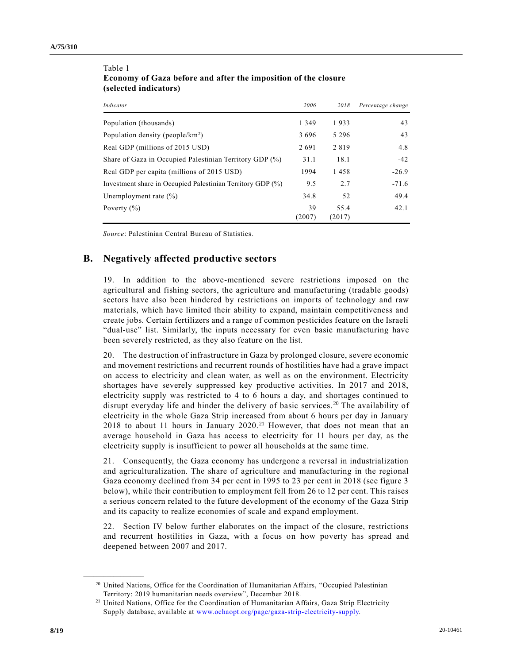| Indicator                                                  | 2006         | 2018           | Percentage change |
|------------------------------------------------------------|--------------|----------------|-------------------|
| Population (thousands)                                     | 1 3 4 9      | 1933           | 43                |
| Population density (people/ $km^2$ )                       | 3696         | 5 2 9 6        | 43                |
| Real GDP (millions of 2015 USD)                            | 2691         | 2819           | 4.8               |
| Share of Gaza in Occupied Palestinian Territory GDP (%)    | 31.1         | 18.1           | $-42$             |
| Real GDP per capita (millions of 2015 USD)                 | 1994         | 1458           | $-26.9$           |
| Investment share in Occupied Palestinian Territory GDP (%) | 9.5          | 2.7            | $-71.6$           |
| Unemployment rate $(\% )$                                  | 34.8         | 52             | 49.4              |
| Poverty $(\% )$                                            | 39<br>(2007) | 55.4<br>(2017) | 42.1              |

#### Table 1 **Economy of Gaza before and after the imposition of the closure (selected indicators)**

*Source*: Palestinian Central Bureau of Statistics.

## **B. Negatively affected productive sectors**

19. In addition to the above-mentioned severe restrictions imposed on the agricultural and fishing sectors, the agriculture and manufacturing (tradable goods) sectors have also been hindered by restrictions on imports of technology and raw materials, which have limited their ability to expand, maintain competitiveness and create jobs. Certain fertilizers and a range of common pesticides feature on the Israeli "dual-use" list. Similarly, the inputs necessary for even basic manufacturing have been severely restricted, as they also feature on the list.

20. The destruction of infrastructure in Gaza by prolonged closure, severe economic and movement restrictions and recurrent rounds of hostilities have had a grave impact on access to electricity and clean water, as well as on the environment. Electricity shortages have severely suppressed key productive activities. In 2017 and 2018, electricity supply was restricted to 4 to 6 hours a day, and shortages continued to disrupt everyday life and hinder the delivery of basic services.<sup>20</sup> The availability of electricity in the whole Gaza Strip increased from about 6 hours per day in January 2018 to about 11 hours in January 2020. <sup>21</sup> However, that does not mean that an average household in Gaza has access to electricity for 11 hours per day, as the electricity supply is insufficient to power all households at the same time.

21. Consequently, the Gaza economy has undergone a reversal in industrialization and agriculturalization. The share of agriculture and manufacturing in the regional Gaza economy declined from 34 per cent in 1995 to 23 per cent in 2018 (see figure 3 below), while their contribution to employment fell from 26 to 12 per cent. This raises a serious concern related to the future development of the economy of the Gaza Strip and its capacity to realize economies of scale and expand employment.

22. Section IV below further elaborates on the impact of the closure, restrictions and recurrent hostilities in Gaza, with a focus on how poverty has spread and deepened between 2007 and 2017.

<sup>&</sup>lt;sup>20</sup> United Nations, Office for the Coordination of Humanitarian Affairs, "Occupied Palestinian Territory: 2019 humanitarian needs overview", December 2018.

<sup>&</sup>lt;sup>21</sup> United Nations, Office for the Coordination of Humanitarian Affairs, Gaza Strip Electricity Supply database, available at [www.ochaopt.org/page/gaza-strip-electricity-supply.](http://www.ochaopt.org/page/gaza-strip-electricity-supply)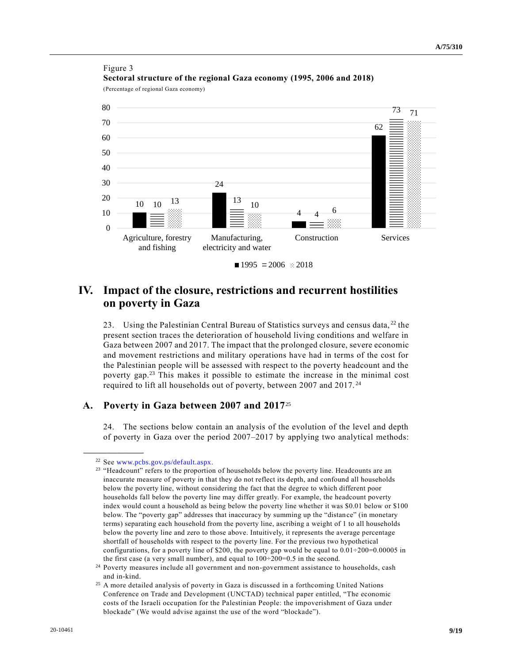

## Figure 3 **Sectoral structure of the regional Gaza economy (1995, 2006 and 2018)**

(Percentage of regional Gaza economy)



23. Using the Palestinian Central Bureau of Statistics surveys and census data, <sup>22</sup> the present section traces the deterioration of household living conditions and welfare in Gaza between 2007 and 2017. The impact that the prolonged closure, severe economic and movement restrictions and military operations have had in terms of the cost for the Palestinian people will be assessed with respect to the poverty headcount and the poverty gap.<sup>23</sup> This makes it possible to estimate the increase in the minimal cost required to lift all households out of poverty, between 2007 and 2017. <sup>24</sup>

### **A. Poverty in Gaza between 2007 and 2017**<sup>25</sup>

24. The sections below contain an analysis of the evolution of the level and depth of poverty in Gaza over the period 2007–2017 by applying two analytical methods:

<sup>22</sup> See [www.pcbs.gov.ps/default.aspx.](http://www.pcbs.gov.ps/default.aspx)

<sup>&</sup>lt;sup>23</sup> "Headcount" refers to the proportion of households below the poverty line. Headcounts are an inaccurate measure of poverty in that they do not reflect its depth, and confound all households below the poverty line, without considering the fact that the degree to which different poor households fall below the poverty line may differ greatly. For example, the headcount poverty index would count a household as being below the poverty line whether it was \$0.01 below or \$100 below. The "poverty gap" addresses that inaccuracy by summing up the "distance" (in monetary terms) separating each household from the poverty line, ascribing a weight of 1 to all households below the poverty line and zero to those above. Intuitively, it represents the average percentage shortfall of households with respect to the poverty line. For the previous two hypothetical configurations, for a poverty line of \$200, the poverty gap would be equal to  $0.01\div 200=0.00005$  in the first case (a very small number), and equal to  $100\div 200=0.5$  in the second.

<sup>&</sup>lt;sup>24</sup> Poverty measures include all government and non-government assistance to households, cash and in-kind.

<sup>&</sup>lt;sup>25</sup> A more detailed analysis of poverty in Gaza is discussed in a forthcoming United Nations Conference on Trade and Development (UNCTAD) technical paper entitled, "The economic costs of the Israeli occupation for the Palestinian People: the impoverishment of Gaza under blockade" (We would advise against the use of the word "blockade").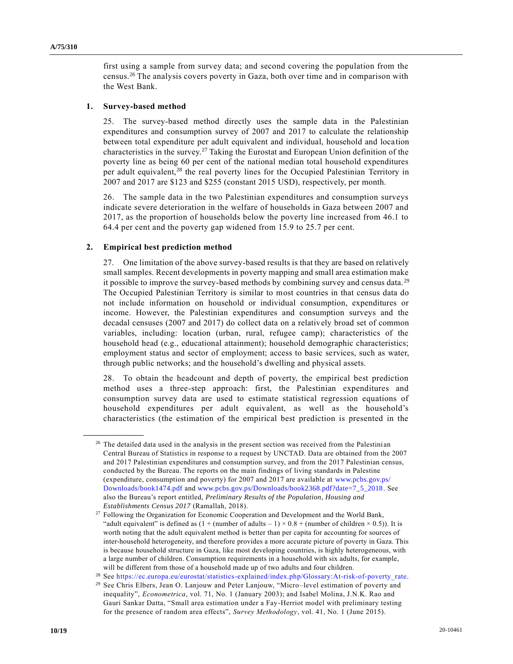first using a sample from survey data; and second covering the population from the census.<sup>26</sup> The analysis covers poverty in Gaza, both over time and in comparison with the West Bank.

#### **1. Survey-based method**

25. The survey-based method directly uses the sample data in the Palestinian expenditures and consumption survey of 2007 and 2017 to calculate the relationship between total expenditure per adult equivalent and individual, household and location characteristics in the survey.<sup>27</sup> Taking the Eurostat and European Union definition of the poverty line as being 60 per cent of the national median total household expenditures per adult equivalent,<sup>28</sup> the real poverty lines for the Occupied Palestinian Territory in 2007 and 2017 are \$123 and \$255 (constant 2015 USD), respectively, per month.

26. The sample data in the two Palestinian expenditures and consumption surveys indicate severe deterioration in the welfare of households in Gaza between 2007 and 2017, as the proportion of households below the poverty line increased from 46.1 to 64.4 per cent and the poverty gap widened from 15.9 to 25.7 per cent.

#### **2. Empirical best prediction method**

**\_\_\_\_\_\_\_\_\_\_\_\_\_\_\_\_\_\_**

27. One limitation of the above survey-based results is that they are based on relatively small samples. Recent developments in poverty mapping and small area estimation make it possible to improve the survey-based methods by combining survey and census data. <sup>29</sup> The Occupied Palestinian Territory is similar to most countries in that census data do not include information on household or individual consumption, expenditures or income. However, the Palestinian expenditures and consumption surveys and the decadal censuses (2007 and 2017) do collect data on a relatively broad set of common variables, including: location (urban, rural, refugee camp); characteristics of the household head (e.g., educational attainment); household demographic characteristics; employment status and sector of employment; access to basic services, such as water, through public networks; and the household's dwelling and physical assets.

28. To obtain the headcount and depth of poverty, the empirical best prediction method uses a three-step approach: first, the Palestinian expenditures and consumption survey data are used to estimate statistical regression equations of household expenditures per adult equivalent, as well as the household's characteristics (the estimation of the empirical best prediction is presented in the

 $26$  The detailed data used in the analysis in the present section was received from the Palestinian Central Bureau of Statistics in response to a request by UNCTAD. Data are obtained from the 2007 and 2017 Palestinian expenditures and consumption survey, and from the 2017 Palestinian census, conducted by the Bureau. The reports on the main findings of living standards in Palestine (expenditure, consumption and poverty) for 2007 and 2017 are available at [www.pcbs.gov.ps/](http://www.pcbs.gov.ps/Downloads/book1474.pdf)  [Downloads/book1474.pdf](http://www.pcbs.gov.ps/Downloads/book1474.pdf) and [www.pcbs.gov.ps/Downloads/book2368.pdf?date=7\\_5\\_2018.](http://www.pcbs.gov.ps/Downloads/book2368.pdf?date=7_5_2018) See also the Bureau's report entitled, *Preliminary Results of the Population, Housing and Establishments Census 2017* (Ramallah, 2018).

<sup>27</sup> Following the Organization for Economic Cooperation and Development and the World Bank, "adult equivalent" is defined as  $(1 + (number of adults - 1) \times 0.8 + (number of children \times 0.5))$ . It is worth noting that the adult equivalent method is better than per capita for accounting for sources of inter-household heterogeneity, and therefore provides a more accurate picture of poverty in Gaza. This is because household structure in Gaza, like most developing countries, is highly heterogeneous, with a large number of children. Consumption requirements in a household with six adults, for example, will be different from those of a household made up of two adults and four children.

<sup>28</sup> See [https://ec.europa.eu/eurostat/statistics-explained/index.php/Glossary:At-risk-of-poverty\\_rate.](https://ec.europa.eu/eurostat/statistics-explained/index.php/Glossary:At-risk-of-poverty_rate)

<sup>29</sup> See Chris Elbers, Jean O. Lanjouw and Peter Lanjouw, "Micro–level estimation of poverty and inequality", *Econometrica*, vol. 71, No. 1 (January 2003); and Isabel Molina, J.N.K. Rao and Gauri Sankar Datta, "Small area estimation under a Fay-Herriot model with preliminary testing for the presence of random area effects", *Survey Methodology*, vol. 41, No. 1 (June 2015).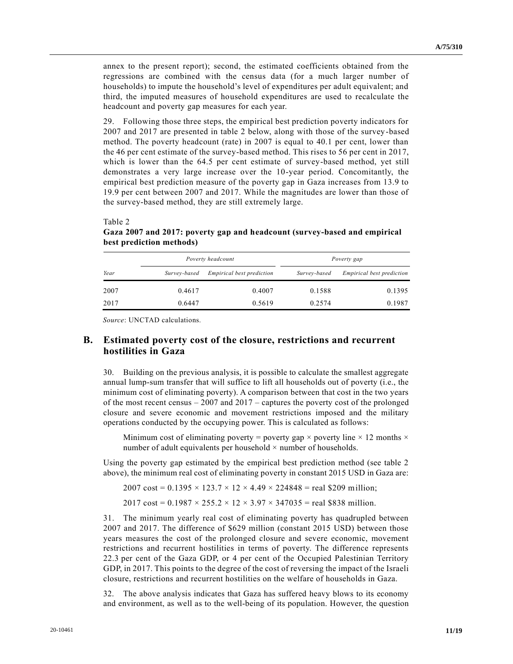annex to the present report); second, the estimated coefficients obtained from the regressions are combined with the census data (for a much larger number of households) to impute the household's level of expenditures per adult equivalent; and third, the imputed measures of household expenditures are used to recalculate the headcount and poverty gap measures for each year.

29. Following those three steps, the empirical best prediction poverty indicators for 2007 and 2017 are presented in table 2 below, along with those of the survey-based method. The poverty headcount (rate) in 2007 is equal to 40.1 per cent, lower than the 46 per cent estimate of the survey-based method. This rises to 56 per cent in 2017, which is lower than the 64.5 per cent estimate of survey-based method, yet still demonstrates a very large increase over the 10-year period. Concomitantly, the empirical best prediction measure of the poverty gap in Gaza increases from 13.9 to 19.9 per cent between 2007 and 2017. While the magnitudes are lower than those of the survey-based method, they are still extremely large.

|      |              | Poverty headcount                | Poverty gap  |                                  |  |
|------|--------------|----------------------------------|--------------|----------------------------------|--|
| Year | Survey-based | <i>Empirical best prediction</i> | Survey-based | <i>Empirical best prediction</i> |  |
| 2007 | 0.4617       | 0.4007                           | 0.1588       | 0.1395                           |  |
| 2017 | 0.6447       | 0.5619                           | 0.2574       | 0.1987                           |  |

Table 2 **Gaza 2007 and 2017: poverty gap and headcount (survey-based and empirical best prediction methods)** 

*Source*: UNCTAD calculations.

#### **B. Estimated poverty cost of the closure, restrictions and recurrent hostilities in Gaza**

30. Building on the previous analysis, it is possible to calculate the smallest aggregate annual lump-sum transfer that will suffice to lift all households out of poverty (i.e., the minimum cost of eliminating poverty). A comparison between that cost in the two years of the most recent census  $-2007$  and  $2017$  – captures the poverty cost of the prolonged closure and severe economic and movement restrictions imposed and the military operations conducted by the occupying power. This is calculated as follows:

Minimum cost of eliminating poverty = poverty gap  $\times$  poverty line  $\times$  12 months  $\times$ number of adult equivalents per household  $\times$  number of households.

Using the poverty gap estimated by the empirical best prediction method (see table 2 above), the minimum real cost of eliminating poverty in constant 2015 USD in Gaza are:

 $2007 \text{ cost} = 0.1395 \times 123.7 \times 12 \times 4.49 \times 224848 = \text{real } $209 \text{ million}$ 

2017 cost = 0.1987  $\times$  255.2  $\times$  12  $\times$  3.97  $\times$  347035 = real \$838 million.

31. The minimum yearly real cost of eliminating poverty has quadrupled between 2007 and 2017. The difference of \$629 million (constant 2015 USD) between those years measures the cost of the prolonged closure and severe economic, movement restrictions and recurrent hostilities in terms of poverty. The difference represents 22.3 per cent of the Gaza GDP, or 4 per cent of the Occupied Palestinian Territory GDP, in 2017. This points to the degree of the cost of reversing the impact of the Israeli closure, restrictions and recurrent hostilities on the welfare of households in Gaza.

32. The above analysis indicates that Gaza has suffered heavy blows to its economy and environment, as well as to the well-being of its population. However, the question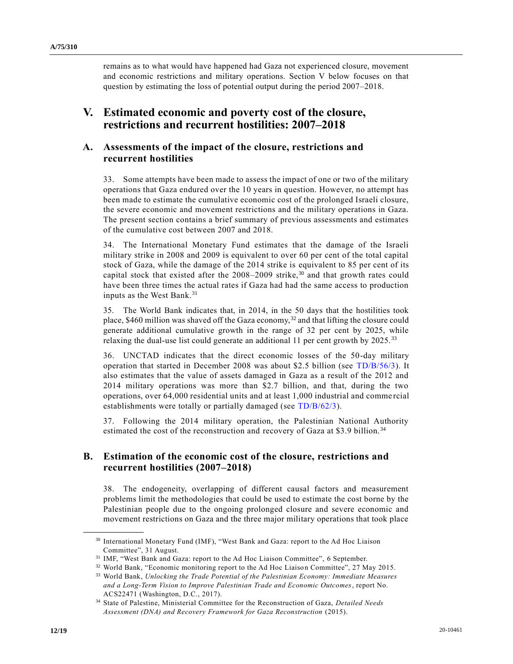remains as to what would have happened had Gaza not experienced closure, movement and economic restrictions and military operations. Section V below focuses on that question by estimating the loss of potential output during the period 2007–2018.

# **V. Estimated economic and poverty cost of the closure, restrictions and recurrent hostilities: 2007–2018**

## **A. Assessments of the impact of the closure, restrictions and recurrent hostilities**

33. Some attempts have been made to assess the impact of one or two of the military operations that Gaza endured over the 10 years in question. However, no attempt has been made to estimate the cumulative economic cost of the prolonged Israeli closure, the severe economic and movement restrictions and the military operations in Gaza. The present section contains a brief summary of previous assessments and estimates of the cumulative cost between 2007 and 2018.

34. The International Monetary Fund estimates that the damage of the Israeli military strike in 2008 and 2009 is equivalent to over 60 per cent of the total capital stock of Gaza, while the damage of the 2014 strike is equivalent to 85 per cent of its capital stock that existed after the  $2008-2009$  strike,<sup>30</sup> and that growth rates could have been three times the actual rates if Gaza had had the same access to production inputs as the West Bank.<sup>31</sup>

35. The World Bank indicates that, in 2014, in the 50 days that the hostilities took place, \$460 million was shaved off the Gaza economy,<sup>32</sup> and that lifting the closure could generate additional cumulative growth in the range of 32 per cent by 2025, while relaxing the dual-use list could generate an additional 11 per cent growth by 2025.<sup>33</sup>

36. UNCTAD indicates that the direct economic losses of the 50-day military operation that started in December 2008 was about \$2.5 billion (see [TD/B/56/3\)](https://undocs.org/en/TD/B/56/3). It also estimates that the value of assets damaged in Gaza as a result of the 2012 and 2014 military operations was more than \$2.7 billion, and that, during the two operations, over 64,000 residential units and at least 1,000 industrial and comme rcial establishments were totally or partially damaged (see [TD/B/62/3\)](https://undocs.org/en/TD/B/62/3).

37. Following the 2014 military operation, the Palestinian National Authority estimated the cost of the reconstruction and recovery of Gaza at \$3.9 billion.<sup>34</sup>

### **B. Estimation of the economic cost of the closure, restrictions and recurrent hostilities (2007–2018)**

38. The endogeneity, overlapping of different causal factors and measurement problems limit the methodologies that could be used to estimate the cost borne by the Palestinian people due to the ongoing prolonged closure and severe economic and movement restrictions on Gaza and the three major military operations that took place

<sup>30</sup> International Monetary Fund (IMF), "West Bank and Gaza: report to the Ad Hoc Liaison Committee", 31 August.

<sup>31</sup> IMF, "West Bank and Gaza: report to the Ad Hoc Liaison Committee", 6 September.

<sup>&</sup>lt;sup>32</sup> World Bank, "Economic monitoring report to the Ad Hoc Liaison Committee", 27 May 2015.

<sup>33</sup> World Bank, *Unlocking the Trade Potential of the Palestinian Economy: Immediate Measures and a Long-Term Vision to Improve Palestinian Trade and Economic Outcomes*, report No. ACS22471 (Washington, D.C., 2017).

<sup>34</sup> State of Palestine, Ministerial Committee for the Reconstruction of Gaza, *Detailed Needs Assessment (DNA) and Recovery Framework for Gaza Reconstruction* (2015).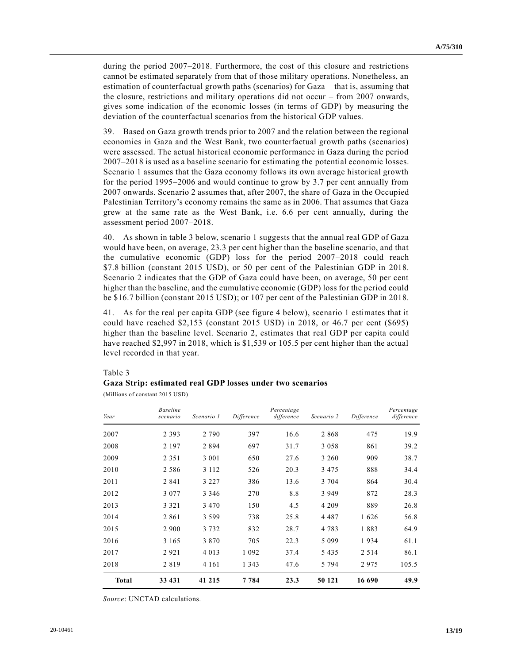during the period 2007–2018. Furthermore, the cost of this closure and restrictions cannot be estimated separately from that of those military operations. Nonetheless, an estimation of counterfactual growth paths (scenarios) for Gaza – that is, assuming that the closure, restrictions and military operations did not occur – from 2007 onwards, gives some indication of the economic losses (in terms of GDP) by measuring the deviation of the counterfactual scenarios from the historical GDP values.

39. Based on Gaza growth trends prior to 2007 and the relation between the regional economies in Gaza and the West Bank, two counterfactual growth paths (scenarios) were assessed. The actual historical economic performance in Gaza during the period 2007–2018 is used as a baseline scenario for estimating the potential economic losses. Scenario 1 assumes that the Gaza economy follows its own average historical growth for the period 1995–2006 and would continue to grow by 3.7 per cent annually from 2007 onwards. Scenario 2 assumes that, after 2007, the share of Gaza in the Occupied Palestinian Territory's economy remains the same as in 2006. That assumes that Gaza grew at the same rate as the West Bank, i.e. 6.6 per cent annually, during the assessment period 2007–2018.

40. As shown in table 3 below, scenario 1 suggests that the annual real GDP of Gaza would have been, on average, 23.3 per cent higher than the baseline scenario, and that the cumulative economic (GDP) loss for the period 2007–2018 could reach \$7.8 billion (constant 2015 USD), or 50 per cent of the Palestinian GDP in 2018. Scenario 2 indicates that the GDP of Gaza could have been, on average, 50 per cent higher than the baseline, and the cumulative economic (GDP) loss for the period could be \$16.7 billion (constant 2015 USD); or 107 per cent of the Palestinian GDP in 2018.

41. As for the real per capita GDP (see figure 4 below), scenario 1 estimates that it could have reached \$2,153 (constant 2015 USD) in 2018, or 46.7 per cent (\$695) higher than the baseline level. Scenario 2, estimates that real GDP per capita could have reached \$2,997 in 2018, which is \$1,539 or 105.5 per cent higher than the actual level recorded in that year.

## Table 3 **Gaza Strip: estimated real GDP losses under two scenarios**

(Millions of constant 2015 USD)

| Year         | <b>Baseline</b><br>scenario | Scenario 1 | Difference | Percentage<br>difference | Scenario 2 | Difference | Percentage<br>difference |
|--------------|-----------------------------|------------|------------|--------------------------|------------|------------|--------------------------|
| 2007         | 2 3 9 3                     | 2 7 9 0    | 397        | 16.6                     | 2868       | 475        | 19.9                     |
| 2008         | 2 1 9 7                     | 2894       | 697        | 31.7                     | 3 0 5 8    | 861        | 39.2                     |
| 2009         | 2 3 5 1                     | 3 0 0 1    | 650        | 27.6                     | 3 260      | 909        | 38.7                     |
| 2010         | 2 5 8 6                     | 3 1 1 2    | 526        | 20.3                     | 3 4 7 5    | 888        | 34.4                     |
| 2011         | 2 8 4 1                     | 3 2 2 7    | 386        | 13.6                     | 3 7 0 4    | 864        | 30.4                     |
| 2012         | 3 0 7 7                     | 3 3 4 6    | 270        | 8.8                      | 3 9 4 9    | 872        | 28.3                     |
| 2013         | 3 3 2 1                     | 3 4 7 0    | 150        | 4.5                      | 4 2 0 9    | 889        | 26.8                     |
| 2014         | 2861                        | 3 5 9 9    | 738        | 25.8                     | 4 4 8 7    | 1626       | 56.8                     |
| 2015         | 2 9 0 0                     | 3 7 3 2    | 832        | 28.7                     | 4 7 8 3    | 1883       | 64.9                     |
| 2016         | 3 1 6 5                     | 3 8 7 0    | 705        | 22.3                     | 5 0 9 9    | 1934       | 61.1                     |
| 2017         | 2921                        | 4 0 1 3    | 1 0 9 2    | 37.4                     | 5 4 3 5    | 2 5 1 4    | 86.1                     |
| 2018         | 2819                        | 4 1 6 1    | 1 3 4 3    | 47.6                     | 5 7 9 4    | 2975       | 105.5                    |
| <b>Total</b> | 33 431                      | 41 215     | 7 7 8 4    | 23.3                     | 50 121     | 16 690     | 49.9                     |

*Source*: UNCTAD calculations.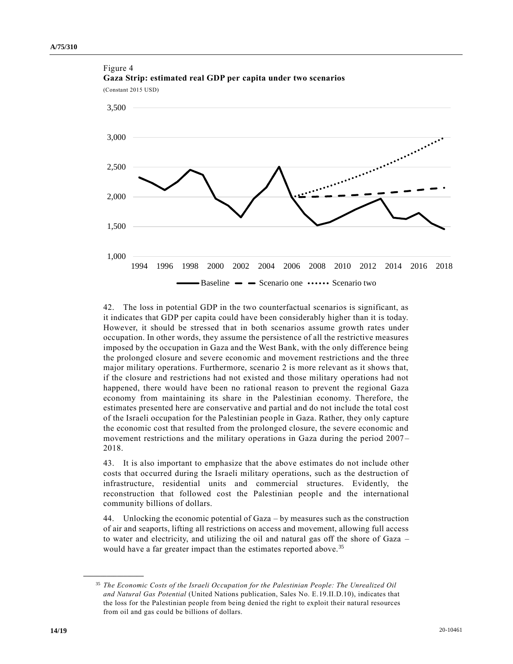

Figure 4 **Gaza Strip: estimated real GDP per capita under two scenarios**

42. The loss in potential GDP in the two counterfactual scenarios is significant, as it indicates that GDP per capita could have been considerably higher than it is today. However, it should be stressed that in both scenarios assume growth rates under occupation. In other words, they assume the persistence of all the restrictive measures imposed by the occupation in Gaza and the West Bank, with the only difference being the prolonged closure and severe economic and movement restrictions and the three major military operations. Furthermore, scenario 2 is more relevant as it shows that, if the closure and restrictions had not existed and those military operations had not happened, there would have been no rational reason to prevent the regional Gaza economy from maintaining its share in the Palestinian economy. Therefore, the estimates presented here are conservative and partial and do not include the total cost of the Israeli occupation for the Palestinian people in Gaza. Rather, they only capture the economic cost that resulted from the prolonged closure, the severe economic and movement restrictions and the military operations in Gaza during the period 2007 – 2018.

43. It is also important to emphasize that the above estimates do not include other costs that occurred during the Israeli military operations, such as the destruction of infrastructure, residential units and commercial structures. Evidently, the reconstruction that followed cost the Palestinian people and the international community billions of dollars.

44. Unlocking the economic potential of Gaza – by measures such as the construction of air and seaports, lifting all restrictions on access and movement, allowing full access to water and electricity, and utilizing the oil and natural gas off the shore of Gaza – would have a far greater impact than the estimates reported above.<sup>35</sup>

<sup>35</sup> *The Economic Costs of the Israeli Occupation for the Palestinian People: The Unrealized Oil and Natural Gas Potential* (United Nations publication, Sales No. E.19.II.D.10), indicates that the loss for the Palestinian people from being denied the right to exploit their natural resources from oil and gas could be billions of dollars.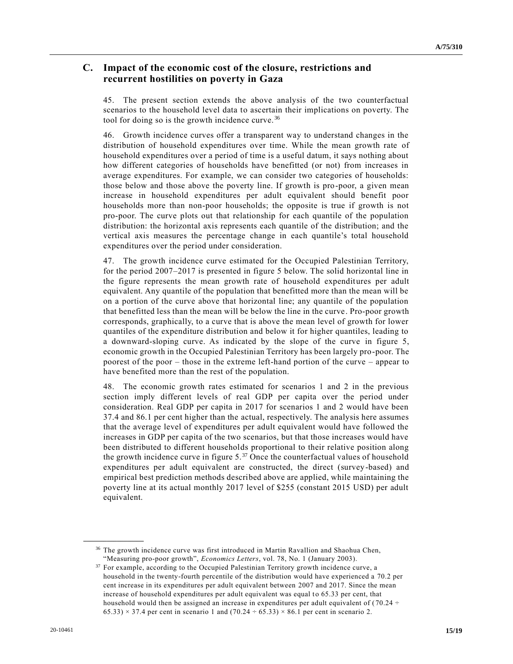### **C. Impact of the economic cost of the closure, restrictions and recurrent hostilities on poverty in Gaza**

45. The present section extends the above analysis of the two counterfactual scenarios to the household level data to ascertain their implications on poverty. The tool for doing so is the growth incidence curve. <sup>36</sup>

46. Growth incidence curves offer a transparent way to understand changes in the distribution of household expenditures over time. While the mean growth rate of household expenditures over a period of time is a useful datum, it says nothing about how different categories of households have benefitted (or not) from increases in average expenditures. For example, we can consider two categories of households: those below and those above the poverty line. If growth is pro-poor, a given mean increase in household expenditures per adult equivalent should benefit poor households more than non-poor households; the opposite is true if growth is not pro-poor. The curve plots out that relationship for each quantile of the population distribution: the horizontal axis represents each quantile of the distribution; and the vertical axis measures the percentage change in each quantile's total household expenditures over the period under consideration.

47. The growth incidence curve estimated for the Occupied Palestinian Territory, for the period 2007–2017 is presented in figure 5 below. The solid horizontal line in the figure represents the mean growth rate of household expenditures per adult equivalent. Any quantile of the population that benefitted more than the mean will be on a portion of the curve above that horizontal line; any quantile of the population that benefitted less than the mean will be below the line in the curve. Pro-poor growth corresponds, graphically, to a curve that is above the mean level of growth for lower quantiles of the expenditure distribution and below it for higher quantiles, leading to a downward-sloping curve. As indicated by the slope of the curve in figure 5, economic growth in the Occupied Palestinian Territory has been largely pro-poor. The poorest of the poor – those in the extreme left-hand portion of the curve – appear to have benefited more than the rest of the population.

48. The economic growth rates estimated for scenarios 1 and 2 in the previous section imply different levels of real GDP per capita over the period under consideration. Real GDP per capita in 2017 for scenarios 1 and 2 would have been 37.4 and 86.1 per cent higher than the actual, respectively. The analysis here assumes that the average level of expenditures per adult equivalent would have followed the increases in GDP per capita of the two scenarios, but that those increases would have been distributed to different households proportional to their relative position along the growth incidence curve in figure  $5<sup>37</sup>$  Once the counterfactual values of household expenditures per adult equivalent are constructed, the direct (survey-based) and empirical best prediction methods described above are applied, while maintaining the poverty line at its actual monthly 2017 level of \$255 (constant 2015 USD) per adult equivalent.

<sup>&</sup>lt;sup>36</sup> The growth incidence curve was first introduced in Martin Ravallion and Shaohua Chen, "Measuring pro-poor growth", *Economics Letters*, vol. 78, No. 1 (January 2003).

<sup>37</sup> For example, according to the Occupied Palestinian Territory growth incidence curve, a household in the twenty-fourth percentile of the distribution would have experienced a 70.2 per cent increase in its expenditures per adult equivalent between 2007 and 2017. Since the mean increase of household expenditures per adult equivalent was equal to 65.33 per cent, that household would then be assigned an increase in expenditures per adult equivalent of ( $70.24 \div$  $65.33$ )  $\times$  37.4 per cent in scenario 1 and  $(70.24 \div 65.33) \times 86.1$  per cent in scenario 2.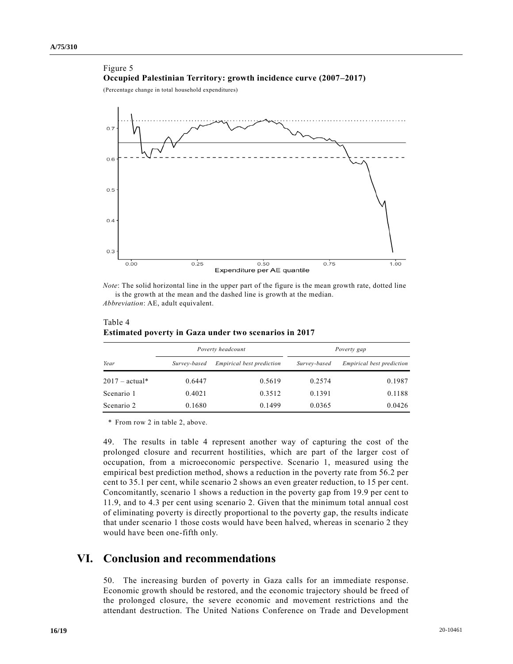### Figure 5 **Occupied Palestinian Territory: growth incidence curve (2007–2017)**

(Percentage change in total household expenditures)



*Note*: The solid horizontal line in the upper part of the figure is the mean growth rate, dotted line is the growth at the mean and the dashed line is growth at the median. *Abbreviation*: AE, adult equivalent.

| Year             |              | Poverty headcount                | Poverty gap  |                                  |  |
|------------------|--------------|----------------------------------|--------------|----------------------------------|--|
|                  | Survey-based | <i>Empirical best prediction</i> | Survey-based | <i>Empirical best prediction</i> |  |
| $2017 - actual*$ | 0.6447       | 0.5619                           | 0.2574       | 0.1987                           |  |
| Scenario 1       | 0.4021       | 0.3512                           | 0.1391       | 0.1188                           |  |
| Scenario 2       | 0.1680       | 0.1499                           | 0.0365       | 0.0426                           |  |

Table 4 **Estimated poverty in Gaza under two scenarios in 2017** 

\* From row 2 in table 2, above.

49. The results in table 4 represent another way of capturing the cost of the prolonged closure and recurrent hostilities, which are part of the larger cost of occupation, from a microeconomic perspective. Scenario 1, measured using the empirical best prediction method, shows a reduction in the poverty rate from 56.2 per cent to 35.1 per cent, while scenario 2 shows an even greater reduction, to 15 per cent. Concomitantly, scenario 1 shows a reduction in the poverty gap from 19.9 per cent to 11.9, and to 4.3 per cent using scenario 2. Given that the minimum total annual cost of eliminating poverty is directly proportional to the poverty gap, the results indicate that under scenario 1 those costs would have been halved, whereas in scenario 2 they would have been one-fifth only.

# **VI. Conclusion and recommendations**

50. The increasing burden of poverty in Gaza calls for an immediate response. Economic growth should be restored, and the economic trajectory should be freed of the prolonged closure, the severe economic and movement restrictions and the attendant destruction. The United Nations Conference on Trade and Development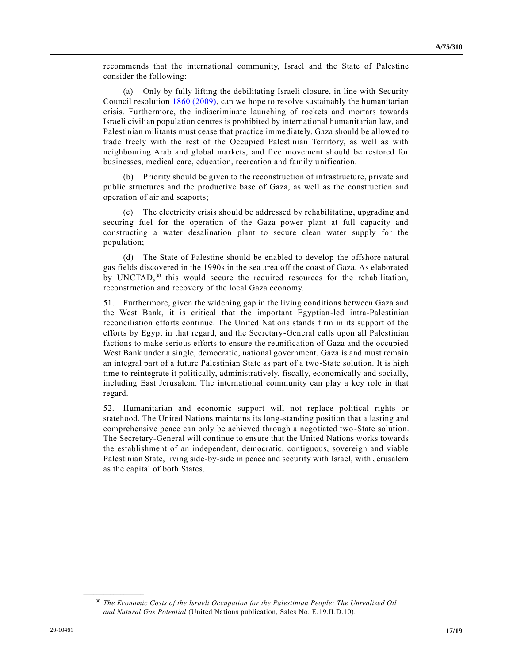recommends that the international community, Israel and the State of Palestine consider the following:

(a) Only by fully lifting the debilitating Israeli closure, in line with Security Council resolution [1860 \(2009\),](https://undocs.org/en/S/RES/1860(2009)) can we hope to resolve sustainably the humanitarian crisis. Furthermore, the indiscriminate launching of rockets and mortars towards Israeli civilian population centres is prohibited by international humanitarian law, and Palestinian militants must cease that practice immediately. Gaza should be allowed to trade freely with the rest of the Occupied Palestinian Territory, as well as with neighbouring Arab and global markets, and free movement should be restored for businesses, medical care, education, recreation and family unification.

(b) Priority should be given to the reconstruction of infrastructure, private and public structures and the productive base of Gaza, as well as the construction and operation of air and seaports;

(c) The electricity crisis should be addressed by rehabilitating, upgrading and securing fuel for the operation of the Gaza power plant at full capacity and constructing a water desalination plant to secure clean water supply for the population;

(d) The State of Palestine should be enabled to develop the offshore natural gas fields discovered in the 1990s in the sea area off the coast of Gaza. As elaborated by UNCTAD,<sup>38</sup> this would secure the required resources for the rehabilitation, reconstruction and recovery of the local Gaza economy.

51. Furthermore, given the widening gap in the living conditions between Gaza and the West Bank, it is critical that the important Egyptian-led intra-Palestinian reconciliation efforts continue. The United Nations stands firm in its support of the efforts by Egypt in that regard, and the Secretary-General calls upon all Palestinian factions to make serious efforts to ensure the reunification of Gaza and the occupied West Bank under a single, democratic, national government. Gaza is and must remain an integral part of a future Palestinian State as part of a two-State solution. It is high time to reintegrate it politically, administratively, fiscally, economically and socially, including East Jerusalem. The international community can play a key role in that regard.

52. Humanitarian and economic support will not replace political rights or statehood. The United Nations maintains its long-standing position that a lasting and comprehensive peace can only be achieved through a negotiated two-State solution. The Secretary-General will continue to ensure that the United Nations works towards the establishment of an independent, democratic, contiguous, sovereign and viable Palestinian State, living side-by-side in peace and security with Israel, with Jerusalem as the capital of both States.

<sup>38</sup> *The Economic Costs of the Israeli Occupation for the Palestinian People: The Unrealized Oil and Natural Gas Potential* (United Nations publication, Sales No. E.19.II.D.10).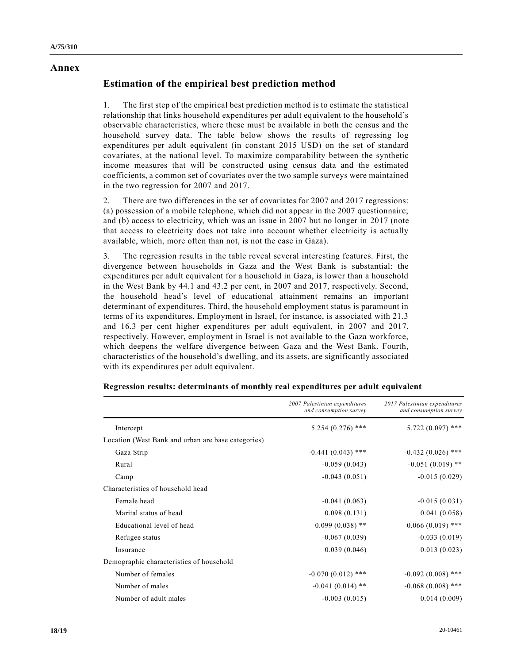#### **Annex**

## **Estimation of the empirical best prediction method**

1. The first step of the empirical best prediction method is to estimate the statistical relationship that links household expenditures per adult equivalent to the household's observable characteristics, where these must be available in both the census and the household survey data. The table below shows the results of regressing log expenditures per adult equivalent (in constant 2015 USD) on the set of standard covariates, at the national level. To maximize comparability between the synthetic income measures that will be constructed using census data and the estimated coefficients, a common set of covariates over the two sample surveys were maintained in the two regression for 2007 and 2017.

2. There are two differences in the set of covariates for 2007 and 2017 regressions: (a) possession of a mobile telephone, which did not appear in the 2007 questionnaire; and (b) access to electricity, which was an issue in 2007 but no longer in 2017 (note that access to electricity does not take into account whether electricity is actually available, which, more often than not, is not the case in Gaza).

3. The regression results in the table reveal several interesting features. First, the divergence between households in Gaza and the West Bank is substantial: the expenditures per adult equivalent for a household in Gaza, is lower than a household in the West Bank by 44.1 and 43.2 per cent, in 2007 and 2017, respectively. Second, the household head's level of educational attainment remains an important determinant of expenditures. Third, the household employment status is paramount in terms of its expenditures. Employment in Israel, for instance, is associated with 21.3 and 16.3 per cent higher expenditures per adult equivalent, in 2007 and 2017, respectively. However, employment in Israel is not available to the Gaza workforce, which deepens the welfare divergence between Gaza and the West Bank. Fourth, characteristics of the household's dwelling, and its assets, are significantly associated with its expenditures per adult equivalent.

|                                                    | 2007 Palestinian expenditures<br>and consumption survey | 2017 Palestinian expenditures<br>and consumption survey |
|----------------------------------------------------|---------------------------------------------------------|---------------------------------------------------------|
| Intercept                                          | $5.254(0.276)$ ***                                      | $5.722(0.097)$ ***                                      |
| Location (West Bank and urban are base categories) |                                                         |                                                         |
| Gaza Strip                                         | $-0.441(0.043)$ ***                                     | $-0.432(0.026)$ ***                                     |
| Rural                                              | $-0.059(0.043)$                                         | $-0.051(0.019)$ **                                      |
| Camp                                               | $-0.043(0.051)$                                         | $-0.015(0.029)$                                         |
| Characteristics of household head                  |                                                         |                                                         |
| Female head                                        | $-0.041(0.063)$                                         | $-0.015(0.031)$                                         |
| Marital status of head                             | 0.098(0.131)                                            | 0.041(0.058)                                            |
| Educational level of head                          | $0.099(0.038)$ **                                       | $0.066(0.019)$ ***                                      |
| Refugee status                                     | $-0.067(0.039)$                                         | $-0.033(0.019)$                                         |
| Insurance                                          | 0.039(0.046)                                            | 0.013(0.023)                                            |
| Demographic characteristics of household           |                                                         |                                                         |
| Number of females                                  | $-0.070(0.012)$ ***                                     | $-0.092(0.008)$ ***                                     |
| Number of males                                    | $-0.041(0.014)$ **                                      | $-0.068(0.008)$ ***                                     |
| Number of adult males                              | $-0.003(0.015)$                                         | 0.014(0.009)                                            |

#### **Regression results: determinants of monthly real expenditures per adult equivalent**